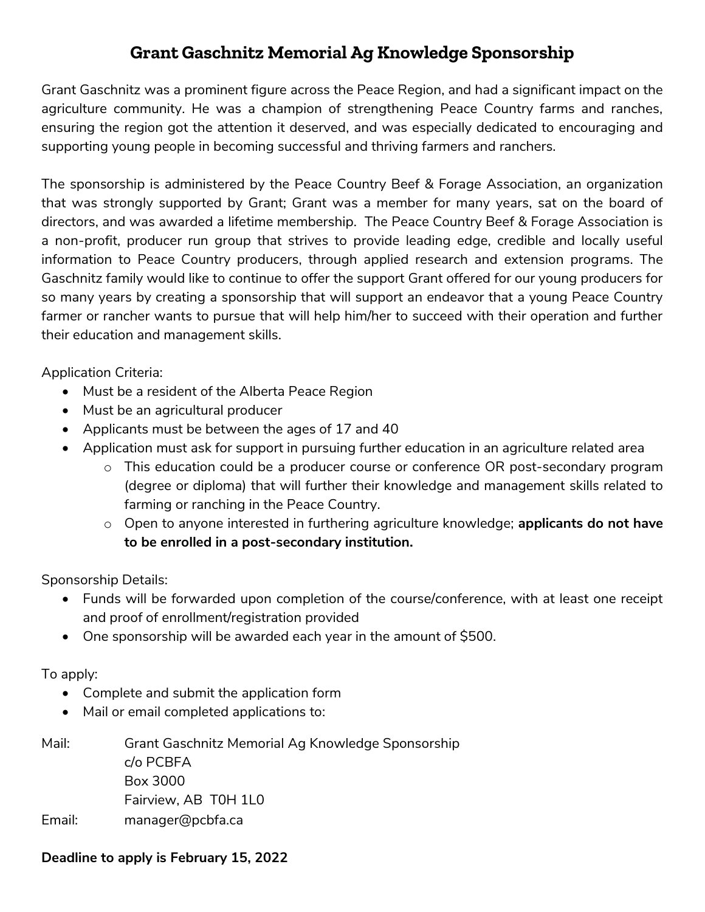## **Grant Gaschnitz Memorial Ag Knowledge Sponsorship**

Grant Gaschnitz was a prominent figure across the Peace Region, and had a significant impact on the agriculture community. He was a champion of strengthening Peace Country farms and ranches, ensuring the region got the attention it deserved, and was especially dedicated to encouraging and supporting young people in becoming successful and thriving farmers and ranchers.

The sponsorship is administered by the Peace Country Beef & Forage Association, an organization that was strongly supported by Grant; Grant was a member for many years, sat on the board of directors, and was awarded a lifetime membership. The Peace Country Beef & Forage Association is a non-profit, producer run group that strives to provide leading edge, credible and locally useful information to Peace Country producers, through applied research and extension programs. The Gaschnitz family would like to continue to offer the support Grant offered for our young producers for so many years by creating a sponsorship that will support an endeavor that a young Peace Country farmer or rancher wants to pursue that will help him/her to succeed with their operation and further their education and management skills.

Application Criteria:

- Must be a resident of the Alberta Peace Region
- Must be an agricultural producer
- Applicants must be between the ages of 17 and 40
- Application must ask for support in pursuing further education in an agriculture related area
	- o This education could be a producer course or conference OR post-secondary program (degree or diploma) that will further their knowledge and management skills related to farming or ranching in the Peace Country.
	- o Open to anyone interested in furthering agriculture knowledge; **applicants do not have to be enrolled in a post-secondary institution.**

Sponsorship Details:

- Funds will be forwarded upon completion of the course/conference, with at least one receipt and proof of enrollment/registration provided
- One sponsorship will be awarded each year in the amount of \$500.

To apply:

- Complete and submit the application form
- Mail or email completed applications to:

Mail: Grant Gaschnitz Memorial Ag Knowledge Sponsorship c/o PCBFA Box 3000 Fairview, AB T0H 1L0 Email: manager@pcbfa.ca

## **Deadline to apply is February 15, 2022**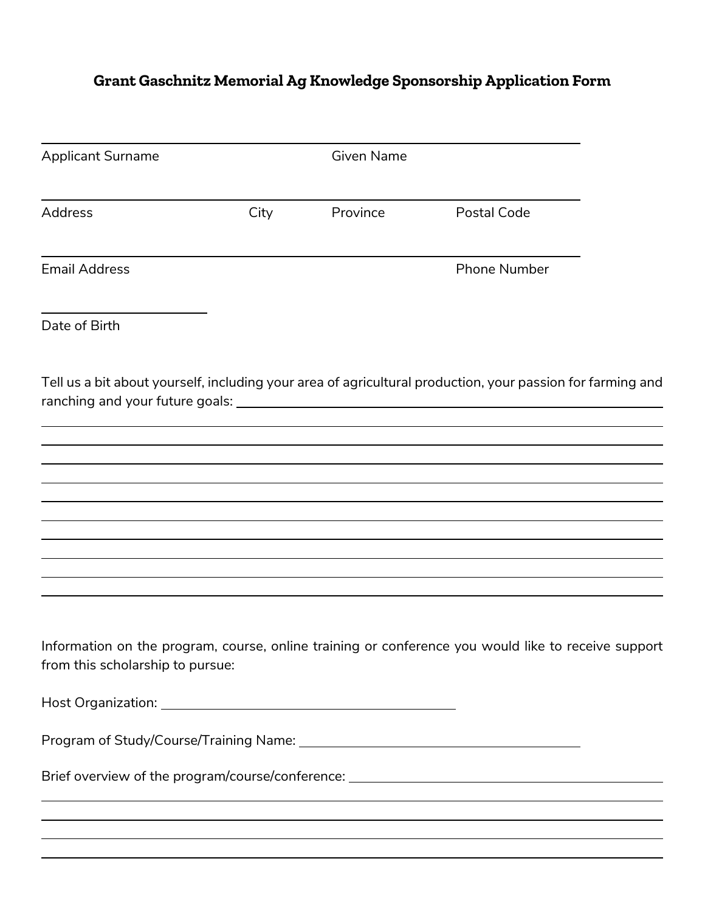## **Grant Gaschnitz Memorial Ag Knowledge Sponsorship Application Form**

| <b>Applicant Surname</b>                                                                                                                |      | <b>Given Name</b> |                     |  |
|-----------------------------------------------------------------------------------------------------------------------------------------|------|-------------------|---------------------|--|
| <b>Address</b>                                                                                                                          | City | Province          | <b>Postal Code</b>  |  |
| <b>Email Address</b>                                                                                                                    |      |                   | <b>Phone Number</b> |  |
| Date of Birth                                                                                                                           |      |                   |                     |  |
| Tell us a bit about yourself, including your area of agricultural production, your passion for farming and                              |      |                   |                     |  |
|                                                                                                                                         |      |                   |                     |  |
|                                                                                                                                         |      |                   |                     |  |
|                                                                                                                                         |      |                   |                     |  |
|                                                                                                                                         |      |                   |                     |  |
| Information on the program, course, online training or conference you would like to receive support<br>from this scholarship to pursue: |      |                   |                     |  |
|                                                                                                                                         |      |                   |                     |  |
|                                                                                                                                         |      |                   |                     |  |
| Brief overview of the program/course/conference: _______________________________                                                        |      |                   |                     |  |
|                                                                                                                                         |      |                   |                     |  |